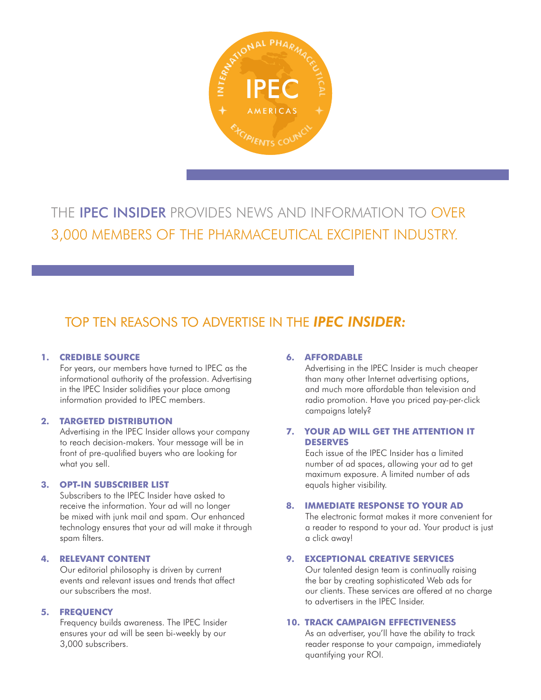

THE IPEC INSIDER PROVIDES NEWS AND INFORMATION TO OVER 3,000 MEMBERS OF THE PHARMACEUTICAL EXCIPIENT INDUSTRY.

## TOP TEN REASONS TO ADVERTISE IN THE *IPEC INSIDER:*

#### **1. CREDIBLE SOURCE**

For years, our members have turned to IPEC as the informational authority of the profession. Advertising in the IPEC Insider solidifies your place among information provided to IPEC members.

#### **2. TARGETED DISTRIBUTION**

Advertising in the IPEC Insider allows your company to reach decision-makers. Your message will be in front of pre-qualified buyers who are looking for what you sell.

### **3. OPT-IN SUBSCRIBER LIST**

Subscribers to the IPEC Insider have asked to receive the information. Your ad will no longer be mixed with junk mail and spam. Our enhanced technology ensures that your ad will make it through spam filters.

### **4. RELEVANT CONTENT**

Our editorial philosophy is driven by current events and relevant issues and trends that affect our subscribers the most.

### **5. FREQUENCY**

Frequency builds awareness. The IPEC Insider ensures your ad will be seen bi-weekly by our 3,000 subscribers.

#### **6. AFFORDABLE**

Advertising in the IPEC Insider is much cheaper than many other Internet advertising options, and much more affordable than television and radio promotion. Have you priced pay-per-click campaigns lately?

#### **7. YOUR AD WILL GET THE ATTENTION IT DESERVES**

Each issue of the IPEC Insider has a limited number of ad spaces, allowing your ad to get maximum exposure. A limited number of ads equals higher visibility.

### **8. IMMEDIATE RESPONSE TO YOUR AD**

The electronic format makes it more convenient for a reader to respond to your ad. Your product is just a click away!

#### **9. EXCEPTIONAL CREATIVE SERVICES**

Our talented design team is continually raising the bar by creating sophisticated Web ads for our clients. These services are offered at no charge to advertisers in the IPEC Insider.

#### **10. TRACK CAMPAIGN EFFECTIVENESS**

As an advertiser, you'll have the ability to track reader response to your campaign, immediately quantifying your ROI.